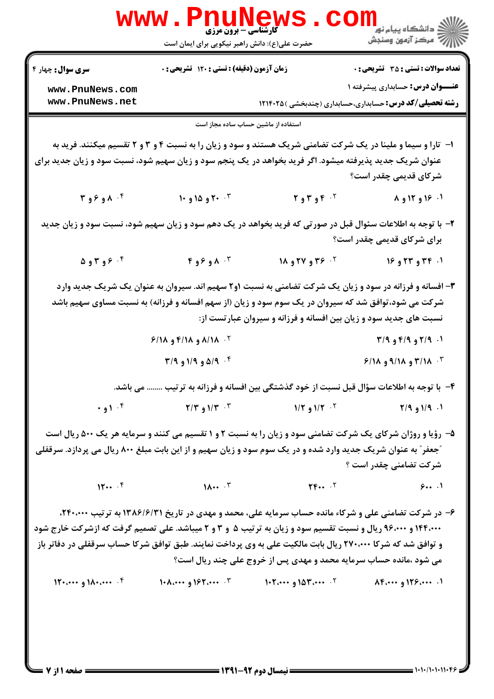| <b>سری سوال :</b> چهار ۴                                                                                                                                                                                                   | زمان آزمون (دقیقه) : تستی : ۱۲۰ تشریحی : 0 |                                                                                                                                                                                                                              | <b>تعداد سوالات : تستي : 35 ٪ تشریحي : 0</b>                    |
|----------------------------------------------------------------------------------------------------------------------------------------------------------------------------------------------------------------------------|--------------------------------------------|------------------------------------------------------------------------------------------------------------------------------------------------------------------------------------------------------------------------------|-----------------------------------------------------------------|
|                                                                                                                                                                                                                            |                                            |                                                                                                                                                                                                                              | <b>عنـــوان درس:</b> حسابداری پیشرفته ۱                         |
| www.PnuNews.com<br>www.PnuNews.net                                                                                                                                                                                         |                                            |                                                                                                                                                                                                                              | <b>رشته تحصیلی/کد درس:</b> حسابداری،حسابداری (چندبخشی ) ۱۲۱۴۰۲۵ |
|                                                                                                                                                                                                                            | استفاده از ماشین حساب ساده مجاز است        |                                                                                                                                                                                                                              |                                                                 |
|                                                                                                                                                                                                                            |                                            |                                                                                                                                                                                                                              |                                                                 |
| عنوان شریک جدید پذیرفته میشود. اگر فرید بخواهد در یک پنجم سود و زیان سهیم شود، نسبت سود و زیان جدید برای                                                                                                                   |                                            | ا− تارا و سیما و ملینا در یک شرکت تضامنی شریک هستند و سود و زیان را به نسبت ۴ و ۳ و ۲ تقسیم میکنند. فرید به                                                                                                                  |                                                                 |
|                                                                                                                                                                                                                            |                                            |                                                                                                                                                                                                                              | شرکای قدیمی چقدر است؟                                           |
| T 989A                                                                                                                                                                                                                     | ۰۴ و ۱۵ و ۱۰                               | ۰۲ و ۳ و ۲                                                                                                                                                                                                                   | ۰۱ ۱۶ و ۱۲ و ۸                                                  |
| ۲- با توجه به اطلاعات سئوال قبل در صورتی که فرید بخواهد در یک دهم سود و زیان سهیم شود، نسبت سود و زیان جدید                                                                                                                |                                            |                                                                                                                                                                                                                              |                                                                 |
|                                                                                                                                                                                                                            |                                            |                                                                                                                                                                                                                              | برای شرکای قدیمی چقدر است؟                                      |
| ۰۴ و۳و۵                                                                                                                                                                                                                    | ۰۴ مو ۶و ۴                                 | <sup>۲.</sup> ۳۶ و ۲۷ و ۱۸                                                                                                                                                                                                   | ۰۱. ۳۴ و ۲۳ و ۱۶                                                |
|                                                                                                                                                                                                                            |                                            | ۳- افسانه و فرزانه در سود و زیان یک شرکت تضامنی به نسبت ۱و۲ سهیم اند. سیروان به عنوان یک شریک جدید وارد                                                                                                                      |                                                                 |
|                                                                                                                                                                                                                            |                                            | شرکت می شود،توافق شد که سیروان در یک سوم سود و زیان (از سهم افسانه و فرزانه) به نسبت مساوی سهیم باشد                                                                                                                         |                                                                 |
|                                                                                                                                                                                                                            |                                            | نسبت های جدید سود و زیان بین افسانه و فرزانه و سیروان عبارتست از:                                                                                                                                                            |                                                                 |
|                                                                                                                                                                                                                            | <sup>۲.</sup> ۸/۱۸ و ۴/۱۸ و ۶/۱۸           |                                                                                                                                                                                                                              | ۰۱. ۲/۹ و ۴/۹ و ۳/۹                                             |
|                                                                                                                                                                                                                            | ۳۰ و ۱/۹ و ۱/۹ و ۳/۹                       |                                                                                                                                                                                                                              | <b>6/18 و ۹/۱۸ و ۱۸/۹</b>                                       |
|                                                                                                                                                                                                                            |                                            | ۴- با توجه به اطلاعات سؤال قبل نسبت از خود گذشتگی بین افسانه و فرزانه به ترتیب  می باشد.                                                                                                                                     |                                                                 |
|                                                                                                                                                                                                                            |                                            | ۰۹/۱۹ و ۲/۹ سال ۱/۳ و ۱/۲ و ۱/۳ سال ۱/۳ و ۲/۳ و ۲/۳ مسال ۱۰۴ و ۰٫۹ و ۰٫۹ و ۰٫۹ و ۰٫۹ و ۰٫۹ و ۰٫۹ و ۰٫۹ و ۰٫۹ و ۰٫۹ و ۰٫۰ و ۰٫۰ و ۰٫۰ و ۰٫۰ و ۰٫۰ و ۰٫۰ و ۰٫۰ و ۰٫۰ و ۰٫۰ و ۰٫۰ و ۰٫۰ و ۰٫۰ و ۰٫۰ و ۰٫۰ و ۰٫۰ و ۰٫۰ و ۰٫۰ و ۰ |                                                                 |
|                                                                                                                                                                                                                            |                                            | ۵- رؤیا و روژان شرکای یک شرکت تضامنی سود و زیان را به نسبت ۲ و ۱ تقسیم می کنند و سرمایه هر یک ۵۰۰ ریال است                                                                                                                   |                                                                 |
| "جعفر" به عنوان شریک جدید وارد شده و در یک سوم سود و زیان سهیم و از این بابت مبلغ ۸۰۰ ریال می پردازد. سرقفلی                                                                                                               |                                            |                                                                                                                                                                                                                              |                                                                 |
|                                                                                                                                                                                                                            |                                            |                                                                                                                                                                                                                              | شركت تضامني چقدر است ؟                                          |
|                                                                                                                                                                                                                            |                                            | $11$ $11$ $11$ $11$ $11$ $11$ $11$ $11$ $11$ $11$ $11$ $11$ $11$ $11$ $11$ $11$ $11$ $11$ $11$ $11$ $11$ $11$ $11$ $11$ $11$ $11$ $11$ $11$ $11$ $11$ $11$ $11$ $11$ $11$ $11$ $11$ $11$                                     |                                                                 |
|                                                                                                                                                                                                                            |                                            |                                                                                                                                                                                                                              |                                                                 |
|                                                                                                                                                                                                                            |                                            |                                                                                                                                                                                                                              |                                                                 |
| ۶- در شرکت تضامنی علی و شرکاء مانده حساب سرمایه علی، محمد و مهدی در تاریخ ۱۳۸۶/۶/۳۱ به ترتیب ۲۴۰،۰۰۰،                                                                                                                      |                                            |                                                                                                                                                                                                                              |                                                                 |
| ۱۴۴،۰۰۰ و ۹۶،۰۰۰ ریال و نسبت تقسیم سود و زیان به ترتیب ۵ و ۳ و ۲ میباشد. علی تصمیم گرفت که ازشرکت خارج شود<br>و توافق شد که شرکا ۲۷۰،۰۰۰ ریال بابت مالکیت علی به وی پرداخت نمایند. طبق توافق شرکا حساب سرقفلی در دفاتر باز |                                            |                                                                                                                                                                                                                              |                                                                 |
|                                                                                                                                                                                                                            |                                            | می شود ،مانده حساب سرمایه محمد و مهدی پس از خروج علی چند ریال است؟                                                                                                                                                           |                                                                 |
|                                                                                                                                                                                                                            |                                            | 11 AP ۱۲۶ و ۸۴.۰۰۰ × مستماها و ۱۰۲.۰۰۰ × ۱۴.۰۰۰ و ۱۰۸.۰۰۰ و ۱۰۰.۰۰۰ و ۱۲۰.۰۰۰ و ۱۲۰.۰۰۰ و ۱۲۰.۰۰۰ و ۱۲۰.۰۰۰                                                                                                                  |                                                                 |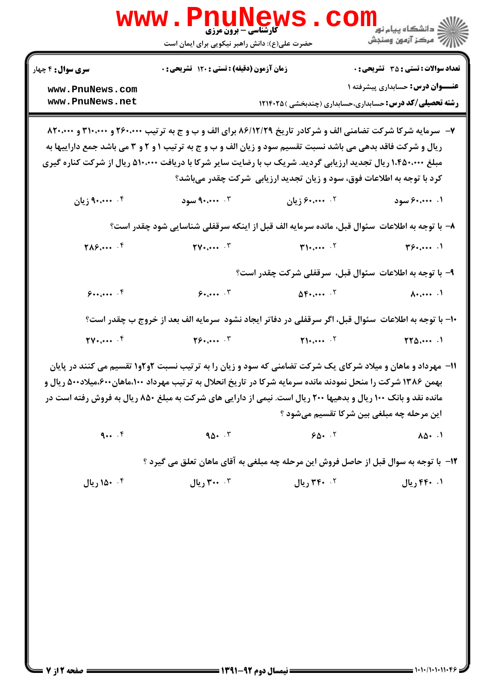|                                     | <b>WWW.PNUNEWS</b><br><b>گارشناسی - برون مرزی</b><br>حضرت علی(ع): دانش راهبر نیکویی برای ایمان است                                                                                                                                                                                                                                           |                                                                         | الان دانشگاه پيام نور <mark></mark><br>الان مرکز آزمون وسنجش   |
|-------------------------------------|----------------------------------------------------------------------------------------------------------------------------------------------------------------------------------------------------------------------------------------------------------------------------------------------------------------------------------------------|-------------------------------------------------------------------------|----------------------------------------------------------------|
| <b>سری سوال :</b> ۴ چهار            | زمان آزمون (دقیقه) : تستی : ۱۲۰ تشریحی : ۰                                                                                                                                                                                                                                                                                                   |                                                                         | <b>تعداد سوالات : تستی : 35 - تشریحی : 0</b>                   |
| www.PnuNews.com                     |                                                                                                                                                                                                                                                                                                                                              |                                                                         | <b>عنـــوان درس:</b> حسابداری پیشرفته ۱                        |
| www.PnuNews.net                     |                                                                                                                                                                                                                                                                                                                                              |                                                                         | <b>رشته تحصیلی/کد درس:</b> حسابداری،حسابداری (چندبخشی )۱۲۱۴۰۲۵ |
|                                     | ۷- سرمایه شرکا شرکت تضامنی الف و شرکادر تاریخ ۸۶/۱۲/۲۹ برای الف و ب و ج به ترتیب ۲۶۰،۰۰۰ و ۳۱۰،۰۰۰ و ۸۲۰،۰۰۰<br>ریال و شرکت فاقد بدهی می باشد نسبت تقسیم سود و زیان الف و ب و ج به ترتیب ۱ و ۲ و ۳ می باشد جمع داراییها به<br>مبلغ ۱،۴۵۰،۰۰۰ ریال تجدید ارزیابی گردید. شریک ب با رضایت سایر شرکا با دریافت ۵۱۰،۰۰۰ ریال از شرکت کناره گیری   |                                                                         |                                                                |
|                                     |                                                                                                                                                                                                                                                                                                                                              | کرد با توجه به اطلاعات فوق، سود و زیان تجدید ارزیابی ًشرکت چقدر میباشد؟ |                                                                |
| ۰۴ ۴۰،۰۰۰ زیان                      | ۰۳ میوه                                                                                                                                                                                                                                                                                                                                      | ۰۲ ۶۰،۰۰۰ زیان                                                          | ۰۱ ۴۰،۰۰۰ سود                                                  |
|                                     | ٨− با توجه به اطلاعات ًسئوال قبل، مانده سرمايه الف قبل از اينكه سرقفلي شناسايي شود چقدر است؟                                                                                                                                                                                                                                                 |                                                                         |                                                                |
| $Y \wedge \mathcal{S}$ $\cdot$      | $\mathbf{Y} \cdot \cdots \cdot \mathbf{Y}$                                                                                                                                                                                                                                                                                                   | $\mathbf{y}_1, \ldots, \mathbf{y}_n$                                    | $\mathbf{y}_{\mathbf{y},}$                                     |
|                                     |                                                                                                                                                                                                                                                                                                                                              |                                                                         | ۹- با توجه به اطلاعات سئوال قبل، سرقفلی شرکت چقدر است؟         |
| 9                                   | 9.000                                                                                                                                                                                                                                                                                                                                        | $\Delta \mathbf{F}$                                                     | $\lambda$ . $\cdots$ . $\lambda$                               |
|                                     | ۱۰– با توجه به اطلاعات ًسئوال قبل، اگر سرقفلی در دفاتر ایجاد نشود ًسرمایه الف بعد از خروج ب چقدر است؟                                                                                                                                                                                                                                        |                                                                         |                                                                |
| $TV \cdot$ $\cdots$ $\cdot$ $\zeta$ | Y5.000                                                                                                                                                                                                                                                                                                                                       | $\mathbf{Y}$ : $\cdots$                                                 | $\Upsilon\Upsilon\Delta\dots$ .                                |
|                                     | ۰۱۱ مهرداد و ماهان و میلاد شرکای یک شرکت تضامنی که سود و زیان را به ترتیب نسبت ۲و۲و۱ تقسیم می کنند در پایان<br>بهمن ۱۳۸۶ شرکت را منحل نمودند مانده سرمایه شرکا در تاریخ انحلال به ترتیب مهرداد ۱۰۰،ماهان۶۰۰،میلاد۵۰۰ ریال و<br>مانده نقد و بانک ۱۰۰ ریال و بدهیها ۲۰۰ ریال است. نیمی از دارایی های شرکت به مبلغ ۸۵۰ ریال به فروش رفته است در |                                                                         | این مرحله چه مبلغی بین شرکا تقسیم میشود ؟                      |
|                                     |                                                                                                                                                                                                                                                                                                                                              |                                                                         |                                                                |
| 9                                   | $90 - 5$                                                                                                                                                                                                                                                                                                                                     | 90.7                                                                    | $10 - 1$                                                       |
|                                     | 12- با توجه به سوال قبل از حاصل فروش این مرحله چه مبلغی به آقای ماهان تعلق می گیرد ؟                                                                                                                                                                                                                                                         |                                                                         |                                                                |
| ۰۴ ۱۵۰ ريال                         | ۰۰ ۳۰۰ ريال                                                                                                                                                                                                                                                                                                                                  | ۲۰ ۳۴۰ ریال                                                             | ۰۱ ۴۴۰ ریال                                                    |
|                                     |                                                                                                                                                                                                                                                                                                                                              |                                                                         |                                                                |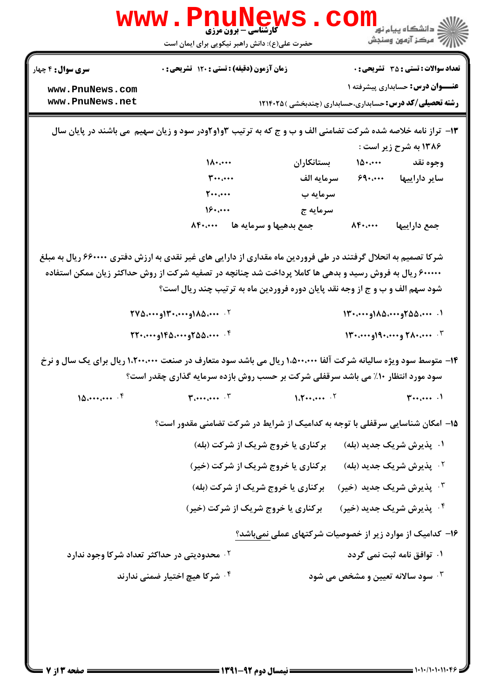|                                                                                                                                                                                                    | <b>گارشناسی - برون مرزی</b><br>حضرت علی(ع): دانش راهبر نیکویی برای ایمان است                                                                                                            |                                                                 |                  | .<br>د انشگاه پيام نو <mark>ر</mark><br>رُ⁄ مرڪز آزمون وسنڊش |
|----------------------------------------------------------------------------------------------------------------------------------------------------------------------------------------------------|-----------------------------------------------------------------------------------------------------------------------------------------------------------------------------------------|-----------------------------------------------------------------|------------------|--------------------------------------------------------------|
| <b>سری سوال :</b> ۴ چهار                                                                                                                                                                           | زمان آزمون (دقیقه) : تستی : ۱۲۰ تشریحی : ۰                                                                                                                                              |                                                                 |                  | <b>تعداد سوالات : تستی : 35 - تشریحی : 0</b>                 |
| www.PnuNews.com                                                                                                                                                                                    |                                                                                                                                                                                         |                                                                 |                  | <b>عنـــوان درس:</b> حسابداری پیشرفته ۱                      |
| www.PnuNews.net                                                                                                                                                                                    |                                                                                                                                                                                         | <b>رشته تحصیلی/کد درس:</b> حسابداری،حسابداری (چندبخشی ) ۱۲۱۴۰۲۵ |                  |                                                              |
|                                                                                                                                                                                                    | ۱۳- تراز نامه خلاصه شده شرکت تضامنی الف و ب و ج که به ترتیب ۳واو۲ودر سود و زیان سهیم ًمی باشند در پایان سال                                                                             |                                                                 |                  | ۱۳۸۶ به شرح زیر است :                                        |
|                                                                                                                                                                                                    | $\Lambda$                                                                                                                                                                               | بستانكاران                                                      |                  | وجوه نقد ۱۵۰٬۰۰۰                                             |
|                                                                                                                                                                                                    | $\mathbf{r} \cdot \mathbf{r} \cdot \mathbf{r}$                                                                                                                                          | سرمايه الف                                                      |                  | سایر داراییها ۶۹۰٬۰۰۰                                        |
|                                                                                                                                                                                                    | $\mathbf{y} \cdot \mathbf{y} \cdot \mathbf{y}$                                                                                                                                          | سرمايه ب                                                        |                  |                                                              |
|                                                                                                                                                                                                    | 19                                                                                                                                                                                      | سرمايه ج                                                        |                  |                                                              |
|                                                                                                                                                                                                    | جمع بدهيها و سرمايه ها مسمعهد                                                                                                                                                           |                                                                 | $\Lambda$ ۴۰٬۰۰۰ | جمع داراييها                                                 |
|                                                                                                                                                                                                    | ۶۰۰۰۰۰ ریال به فروش رسید و بدهی ها کاملا پرداخت شد چنانچه در تصفیه شرکت از روش حداکثر زیان ممکن استفاده<br>شود سهم الف و ب و ج از وجه نقد پایان دوره فروردین ماه به ترتیب چند ریال است؟ |                                                                 |                  | ١. ٢٠٠٠٠ه ٢۵۵،٠٠٠٨٥(و١٣٠،٠٠٠١                                |
|                                                                                                                                                                                                    | ۰۴ . ۲۲۰،۰۰۰ و۱۴۵،۰۰۰ او۰۰۰،۲۲۰                                                                                                                                                         |                                                                 |                  | ۰۳ . ۲۸۰٬۰۰۰ و۱۹۰٬۰۰۰ (و۱۳۰٬۰۰۰                              |
| ۱۴- متوسط سود ویژه سالیانه شرکت آلفا ۱،۵۰۰،۰۰۰ ریال می باشد سود متعارف در صنعت ۱،۲۰۰،۰۰۰ ریال برای یک سال و نرخ<br>سود مورد انتظار ۱۰٪ می باشد سرقفلی شرکت بر حسب روش بازده سرمایه گذاری چقدر است؟ |                                                                                                                                                                                         |                                                                 |                  |                                                              |
| 10.444                                                                                                                                                                                             | $T_{i+1}, \ldots, T$                                                                                                                                                                    | $1.7 \cdots \cdots$ . $7$                                       |                  | $\mu$                                                        |
|                                                                                                                                                                                                    | ۱۵– امکان شناسایی سرقفلی با توجه به کدامیک از شرایط در شرکت تضامنی مقدور است؟                                                                                                           |                                                                 |                  |                                                              |
|                                                                                                                                                                                                    | برکناری یا خروج شریک از شرکت (بله)                                                                                                                                                      |                                                                 |                  | ۰۱ پذیرش شریک جدید (بله)                                     |
|                                                                                                                                                                                                    | برکناری یا خروج شریک از شرکت (خیر)                                                                                                                                                      |                                                                 |                  | <sup>۲</sup> ۰ پذیرش شریک جدید (بله)                         |
|                                                                                                                                                                                                    | برکناری یا خروج شریک از شرکت (بله)                                                                                                                                                      |                                                                 |                  | ۰۳ پذیرش شریک جدید (خیر)                                     |
|                                                                                                                                                                                                    | برکناری یا خروج شریک از شرکت (خیر)                                                                                                                                                      |                                                                 |                  | ۰۴ پذیرش شریک جدید (خیر)                                     |
|                                                                                                                                                                                                    |                                                                                                                                                                                         | ۱۶– کدامیک از موارد زیر از خصوصیات شرکتهای عملی نمیباشد؟        |                  |                                                              |
| <sup>۲ .</sup> محدودیتی در حداکثر تعداد شرکا وجود ندارد                                                                                                                                            |                                                                                                                                                                                         |                                                                 |                  | ۰۱ توافق نامه ثبت نمی گردد                                   |
|                                                                                                                                                                                                    | ۰ <sup>۴</sup> شرکا هیچ اختیار ضمنی ندارند                                                                                                                                              |                                                                 |                  | <b>۰۳ سود سالانه تعیین و مشخص می شود</b>                     |
|                                                                                                                                                                                                    |                                                                                                                                                                                         |                                                                 |                  |                                                              |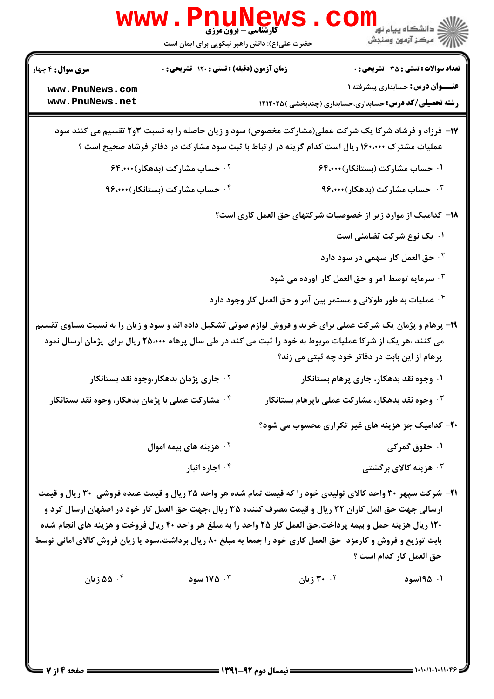|                          | <b>www.PnuNews</b><br><b>کارشناسی - برون مرزی</b>                                                                                                                                                     |                                                                  |                                                                                |
|--------------------------|-------------------------------------------------------------------------------------------------------------------------------------------------------------------------------------------------------|------------------------------------------------------------------|--------------------------------------------------------------------------------|
|                          | حضرت علی(ع): دانش راهبر نیکویی برای ایمان است                                                                                                                                                         |                                                                  | <sup>ان</sup> گ دانشگاه پيام نور ■<br>  <i>  &gt;</i><br>  /> مرکز آزمون وسنجش |
| <b>سری سوال :</b> ۴ چهار | زمان آزمون (دقیقه) : تستی : ۱۲۰ تشریحی : ۰                                                                                                                                                            |                                                                  | <b>تعداد سوالات : تستی : 35 ٪ تشریحی : 0</b>                                   |
| www.PnuNews.com          |                                                                                                                                                                                                       |                                                                  | <b>عنـــوان درس:</b> حسابداری پیشرفته ۱                                        |
| www.PnuNews.net          |                                                                                                                                                                                                       |                                                                  | <b>رشته تحصیلی/کد درس:</b> حسابداری،حسابداری (چندبخشی ) ۱۲۱۴۰۲۵                |
|                          | ۱۷- فرزاد و فرشاد شرکا یک شرکت عملی(مشارکت مخصوص) سود و زیان حاصله را به نسبت ۲و۲ تقسیم می کنند سود<br>عملیات مشترک ۱۶۰،۰۰۰ ریال است کدام گزینه در ارتباط با ثبت سود مشارکت در دفاتر فرشاد صحیح است ؟ |                                                                  |                                                                                |
|                          | <b>گ حساب مشارکت (بدهکار)۴۴،۰۰۰</b>                                                                                                                                                                   |                                                                  | ۰۱ حساب مشارکت (بستانکار)۴،۰۰۰ ۶۴                                              |
|                          | ۰۴ حساب مشارکت (بستانکار)۰۰۰، ۹۶                                                                                                                                                                      |                                                                  | ۰ <sup>۳</sup> حساب مشارکت (بدهکار)۰ <b>۰۰</b> ،۴                              |
|                          |                                                                                                                                                                                                       |                                                                  | ۱۸– کدامیک از موارد زیر از خصوصیات شرکتهای حق العمل کاری است؟                  |
|                          |                                                                                                                                                                                                       |                                                                  | ۰۱ یک نوع شرکت تضامنی است                                                      |
|                          |                                                                                                                                                                                                       |                                                                  | <sup>۲ .</sup> حق العمل کار سهمی در سود دارد                                   |
|                          |                                                                                                                                                                                                       |                                                                  | ۰۳ سرمایه توسط آمر و حق العمل کار آورده می شود                                 |
|                          |                                                                                                                                                                                                       | ۰۴ عملیات به طور طولانی و مستمر بین آمر و حق العمل کار وجود دارد |                                                                                |
|                          | ۱۹- پرهام و پژمان یک شرکت عملی برای خرید و فروش لوازم صوتی تشکیل داده اند و سود و زیان را به نسبت مساوی تقسیم                                                                                         |                                                                  |                                                                                |
|                          | می کنند ،هر یک از شرکا عملیات مربوط به خود را ثبت می کند در طی سال پرهام ۲۵،۰۰۰ ریال برای پژمان ارسال نمود                                                                                            |                                                                  |                                                                                |
|                          |                                                                                                                                                                                                       |                                                                  | پرهام از این بابت در دفاتر خود چه ثبتی می زند؟                                 |
|                          | جاری پژمان بدهکار،وجوه نقد بستانکار $\cdot$ ۲                                                                                                                                                         |                                                                  | ۰۱ وجوه نقد بدهکار، جاری پرهام بستانکار                                        |
|                          | ۰ <sup>۴</sup> مشارکت عملی با پژمان بدهکار، وجوه نقد بستانکار                                                                                                                                         |                                                                  | ۰۳ وجوه نقد بدهکار، مشارکت عملی باپرهام بستانکار                               |
|                          |                                                                                                                                                                                                       |                                                                  | ۲۰- کدامیک جز هزینه های غیر تکراری محسوب می شود؟                               |
|                          | ۰ <sup>۲</sup> هزینه های بیمه اموال                                                                                                                                                                   |                                                                  | ۰۱ حقوق گمرکی                                                                  |
|                          | ۰ <sup>۴</sup> اجاره انبار                                                                                                                                                                            |                                                                  | ۰ <sup>۳</sup> هزینه کالای برگشتی                                              |
|                          | <b>۲۱</b> - شرکت سپهر ۳۰ واحد کالای تولیدی خود را که قیمت تمام شده هر واحد ۲۵ ریال و قیمت عمده فروشی ۳۰ ریال و قیمت                                                                                   |                                                                  |                                                                                |
|                          | ارسالی جهت حق المل کاران ۳۲ ریال و قیمت مصرف کننده ۳۵ ریال ،جهت حق العمل کار خود در اصفهان ارسال کرد و                                                                                                |                                                                  |                                                                                |
|                          | ۱۲۰ ریال هزینه حمل و بیمه پرداخت.حق العمل کار ۲۵ واحد را به مبلغ هر واحد ۴۰ ریال فروخت و هزینه های انجام شده                                                                                          |                                                                  |                                                                                |
|                          | بابت توزیع و فروش و کارمزد ً حق العمل کاری خود را جمعا به مبلغ ۸۰ ریال برداشت،سود یا زیان فروش کالای امانی توسط                                                                                       |                                                                  |                                                                                |
|                          |                                                                                                                                                                                                       |                                                                  | حق العمل كار كدام است ؟                                                        |
| ۰۴ ۵۵ زیان               | ۰۳ م۱۷۵ سود                                                                                                                                                                                           | ۲۰ <sup>۲</sup> ۰ زیان                                           | ۰۱. ۱۹۵۵سود                                                                    |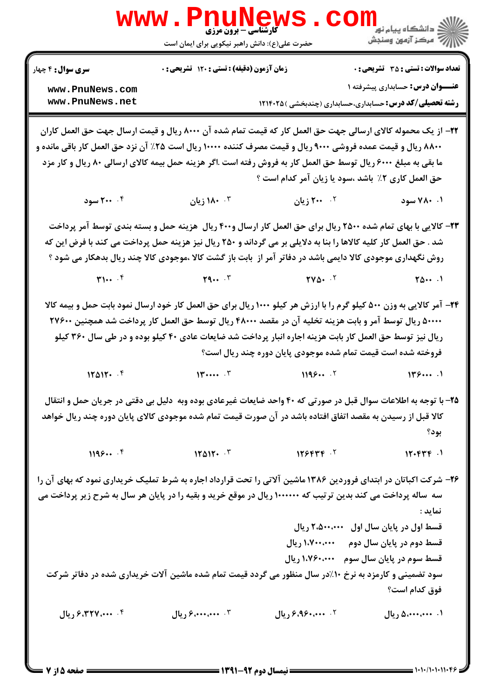|                                                                                                                  | <b>www.PnuNews</b><br><b>گارشناسی - برون مرزی</b>                                                                                             |                                                                                                                       |                                                                 |
|------------------------------------------------------------------------------------------------------------------|-----------------------------------------------------------------------------------------------------------------------------------------------|-----------------------------------------------------------------------------------------------------------------------|-----------------------------------------------------------------|
|                                                                                                                  | حضرت علی(ع): دانش راهبر نیکویی برای ایمان است                                                                                                 |                                                                                                                       |                                                                 |
| <b>سری سوال :</b> ۴ چهار                                                                                         | زمان آزمون (دقیقه) : تستی : ۱۲۰ تشریحی : ۰                                                                                                    |                                                                                                                       | <b>تعداد سوالات : تستی : 35 ٪ تشریحی : 0</b>                    |
| www.PnuNews.com                                                                                                  |                                                                                                                                               |                                                                                                                       | <b>عنـــوان درس:</b> حسابداری پیشرفته ۱                         |
| www.PnuNews.net                                                                                                  |                                                                                                                                               |                                                                                                                       | <b>رشته تحصیلی/کد درس:</b> حسابداری،حسابداری (چندبخشی ) ۱۲۱۴۰۲۵ |
|                                                                                                                  | ۲۲– از یک محموله کالای ارسالی جهت حق العمل کار که قیمت تمام شده آن ۸۰۰۰ ریال و قیمت ارسال جهت حق العمل کاران                                  |                                                                                                                       |                                                                 |
| ۸۸۰۰ ریال و قیمت عمده فروشی ۹۰۰۰ ریال و قیمت مصرف کننده ۱۰۰۰۰ ریال است ۲۵٪ آن نزد حق العمل کار باقی مانده و      |                                                                                                                                               |                                                                                                                       |                                                                 |
|                                                                                                                  | ما بقی به مبلغ ۶۰۰۰ ریال توسط حق العمل کار به فروش رفته است .اگر هزینه حمل بیمه کالای ارسالی ۸۰ ریال و کار مزد                                |                                                                                                                       |                                                                 |
|                                                                                                                  |                                                                                                                                               | حق العمل کاری ۲٪ باشد ،سود یا زیان آمر کدام است ؟                                                                     |                                                                 |
| ۰۴ سود                                                                                                           |                                                                                                                                               | ۲ <b>۰۰ میلن</b> است است از ۱۸۰ میلان است است است از ایران است که از میلان از ایران است که از میلان است که از ایران ا | ۰۱ ۷۸۰ سود                                                      |
|                                                                                                                  | ۲۳– کالایی با بهای تمام شده ۲۵۰۰ ریال برای حق العمل کار ارسال و۴۰۰ ریال ً هزینه حمل و بسته بندی توسط آمر پرداخت                               |                                                                                                                       |                                                                 |
|                                                                                                                  | شد . حق العمل کار کلیه کالاها را بنا به دلایلی بر می گرداند و ۲۵۰ ریال نیز هزینه حمل پرداخت می کند با فرض این که                              |                                                                                                                       |                                                                 |
|                                                                                                                  | روش نگهداری موجودی کالا دایمی باشد در دفاتر آمر از  بابت باز گشت کالا ،موجودی کالا چند ریال بدهکار می شود ؟                                   |                                                                                                                       |                                                                 |
|                                                                                                                  | $T1 \cdot \cdot \cdot$ $T$ $T2 \cdot \cdot \cdot$ $T4 \cdot \cdot \cdot$ $T5 \cdot \cdot \cdot$ $T6 \cdot \cdot \cdot$ $T6 \cdot \cdot \cdot$ |                                                                                                                       |                                                                 |
|                                                                                                                  | <b>۳۴</b> - آمر کالایی به وزن ۵۰۰ کیلو گرم را با ارزش هر کیلو ۱۰۰۰ ریال برای حق العمل کار خود ارسال نمود بابت حمل و بیمه کالا                 |                                                                                                                       |                                                                 |
|                                                                                                                  | ۵۰۰۰۰ ریال توسط آمر و بابت هزینه تخلیه آن در مقصد ۴۸۰۰۰ ریال توسط حق العمل کار پرداخت شد همچنین ۲۷۶۰۰                                         |                                                                                                                       |                                                                 |
|                                                                                                                  | ریال نیز توسط حق العمل کار بابت هزینه اجاره انبار پرداخت شد ضایعات عادی ۴۰ کیلو بوده و در طی سال ۳۶۰ کیلو                                     |                                                                                                                       |                                                                 |
|                                                                                                                  |                                                                                                                                               | فروخته شده است قیمت تمام شده موجودی پایان دوره چند ریال است؟                                                          |                                                                 |
| 17017.                                                                                                           | $14 \cdots$ $5$                                                                                                                               | 1199                                                                                                                  | 149                                                             |
|                                                                                                                  | ۲۵- با توجه به اطلاعات سوال قبل در صورتی که ۴۰ واحد ضایعات غیرعادی بوده وبه  دلیل بی دقتی در جریان حمل و انتقال                               |                                                                                                                       |                                                                 |
|                                                                                                                  | کالا قبل از رسیدن به مقصد اتفاق افتاده باشد در آن صورت قیمت تمام شده موجودی کالای پایان دوره چند ریال خواهد                                   |                                                                                                                       |                                                                 |
|                                                                                                                  |                                                                                                                                               |                                                                                                                       | بود؟                                                            |
| 1195                                                                                                             | $11011 - 5$                                                                                                                                   | 155577                                                                                                                | 17.644                                                          |
| ۲۶- شرکت اکباتان در ابتدای فروردین ۱۳۸۶ ماشین آلاتی را تحت قرارداد اجاره به شرط تملیک خریداری نمود که بهای آن را |                                                                                                                                               |                                                                                                                       |                                                                 |
| سه ساله پرداخت می کند بدین ترتیب که ۱۰۰۰۰۰۰ ریال در موقع خرید و بقیه را در پایان هر سال به شرح زیر پرداخت می     |                                                                                                                                               |                                                                                                                       |                                                                 |
|                                                                                                                  |                                                                                                                                               |                                                                                                                       | نماید :                                                         |
|                                                                                                                  |                                                                                                                                               |                                                                                                                       | قسط اول در پایان سال اول ۲،۵۰۰،۰۰۰ ریال                         |
|                                                                                                                  |                                                                                                                                               | ۱،۷۰۰،۰۰۰ ریال                                                                                                        | قسط دوم در پایان سال دوم                                        |
|                                                                                                                  |                                                                                                                                               | ۱،۷۶۰،۰۰۰ ريال                                                                                                        | قسط سوم در پایان سال سوم                                        |
|                                                                                                                  | ۱۰٪در سال منظور می گردد قیمت تمام شده ماشین آلات خریداری شده در دفاتر شرکت                                                                    |                                                                                                                       | سود تضمینی و کارمزد به نرخ                                      |
|                                                                                                                  |                                                                                                                                               |                                                                                                                       | فوق كدام است؟                                                   |
| ۰۴ ۴۰۰، ۶٬۳۲۷ ریال                                                                                               | ۰۳ میلی دریال                                                                                                                                 | ٠٢. ۶،۹۶۰٬۰۰۰ ريال                                                                                                    | ۰۱. ۵،۰۰۰،۰۰۰ ریال                                              |
|                                                                                                                  |                                                                                                                                               |                                                                                                                       |                                                                 |
|                                                                                                                  |                                                                                                                                               |                                                                                                                       |                                                                 |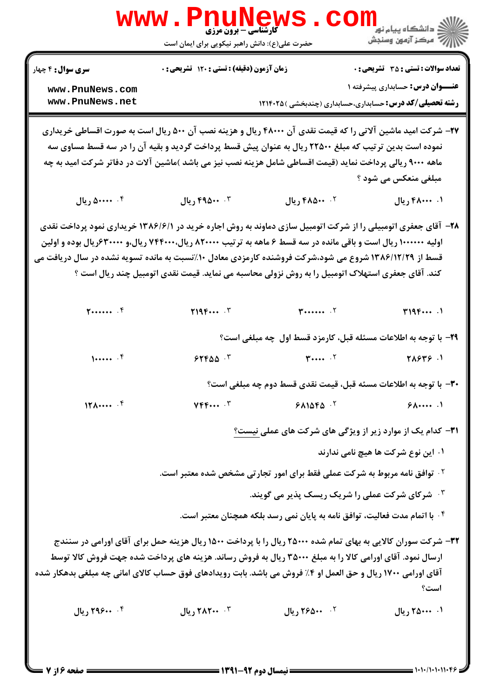| WWW                                                                                                                                                                                                                                                                                                                                       | <b>گارشناسی - برون مرزی</b><br>حضرت علی(ع): دانش راهبر نیکویی برای ایمان است                                                                                                                                              |                                                                                        | ≧ دانشگاه پيام نو <mark>ر</mark><br>رآب آمرڪز آزمون وسنڊش |
|-------------------------------------------------------------------------------------------------------------------------------------------------------------------------------------------------------------------------------------------------------------------------------------------------------------------------------------------|---------------------------------------------------------------------------------------------------------------------------------------------------------------------------------------------------------------------------|----------------------------------------------------------------------------------------|-----------------------------------------------------------|
| <b>سری سوال :</b> ۴ چهار                                                                                                                                                                                                                                                                                                                  | زمان آزمون (دقیقه) : تستی : ۱۲۰ تشریحی : ۰                                                                                                                                                                                |                                                                                        | <b>تعداد سوالات : تستی : 35 گشریحی : 0</b>                |
| www.PnuNews.com<br>www.PnuNews.net                                                                                                                                                                                                                                                                                                        |                                                                                                                                                                                                                           | <b>رشته تحصیلی/کد درس:</b> حسابداری،حسابداری (چندبخشی ) ۱۲۱۴۰۲۵                        | <b>عنـــوان درس:</b> حسابداری پیشرفته ۱                   |
| ۲۷- شرکت امید ماشین آلاتی را که قیمت نقدی آن ۴۸۰۰۰ ریال و هزینه نصب آن ۵۰۰ ریال است به صورت اقساطی خریداری<br>ماهه ۹۰۰۰ ریالی پرداخت نماید (قیمت اقساطی شامل هزینه نصب نیز می باشد )ماشین آلات در دفاتر شرکت امید به چه                                                                                                                   | نموده است بدین تر تیب که مبلغ ۲۲۵۰۰ ریال به عنوان پیش قسط پرداخت گردید و بقیه آن را در سه قسط مساوی سه                                                                                                                    |                                                                                        | مبلغی منعکس می شود ؟                                      |
| ۰۴ منده ريال                                                                                                                                                                                                                                                                                                                              | ۴. ۴۹۵۰۰ ريال                                                                                                                                                                                                             | ٠٢ ٠٠۵٨٠٠ ريال                                                                         | ۰۱ ۴۸۰۰۰۰ ریال                                            |
| ۲۸- آقای جعفری اتومبیلی را از شرکت اتومبیل سازی دماوند به روش اجاره خرید در ۱۳۸۶/۶/۱ خریداری نمود پرداخت نقدی<br>اولیه ۱۰۰۰۰۰۰ ریال است و باقی مانده در سه قسط ۶ ماهه به ترتیب ۸۲۰۰۰۰ ریال۲۴۰۰۰۰ ریال،و ۶۳۰۰۰۰۰ریال بوده و اولین<br>قسط از ۱۳۸۶/۱۲/۲۹ شروع می شود،شرکت فروشنده کارمزدی معادل ۱۰٪نسبت به مانده تسویه نشده در سال دریافت می | کند. آقای جعفری استهلاک اتومبیل را به روش نزولی محاسبه می نماید. قیمت نقدی اتومبیل چند ریال است ؟                                                                                                                         |                                                                                        |                                                           |
| 5                                                                                                                                                                                                                                                                                                                                         | Y19F                                                                                                                                                                                                                      | $\mathbf{y}$ $\cdot$ $\cdot$ $\cdot$                                                   | T195                                                      |
|                                                                                                                                                                                                                                                                                                                                           |                                                                                                                                                                                                                           | ۲۹- با توجه به اطلاعات مسئله قبل، کارمزد قسط اول چه مبلغی است؟                         |                                                           |
| 1                                                                                                                                                                                                                                                                                                                                         | $5550 - 5$                                                                                                                                                                                                                | $\mathbf{r}$ $\mathbf{r}$                                                              | 1. 27217                                                  |
|                                                                                                                                                                                                                                                                                                                                           |                                                                                                                                                                                                                           | ٣٠- با توجه به اطلاعات مسئه قبل، قيمت نقدي قسط دوم چه مبلغي است؟                       |                                                           |
| $17\lambda \cdots$ . $5$                                                                                                                                                                                                                                                                                                                  | $YFF\cdots Y$                                                                                                                                                                                                             | $9A1\Delta F\Delta$ .                                                                  | 5.1                                                       |
|                                                                                                                                                                                                                                                                                                                                           |                                                                                                                                                                                                                           | <b>۳۱</b> - کدام یک از موارد زیر از ویژگی های شرکت های عملی نیست؟                      |                                                           |
|                                                                                                                                                                                                                                                                                                                                           |                                                                                                                                                                                                                           |                                                                                        | ۰۱ این نوع شرکت ها هیچ نامی ندارند                        |
|                                                                                                                                                                                                                                                                                                                                           |                                                                                                                                                                                                                           | <sup>7</sup> ·  توافق نامه مربوط به شرکت عملی فقط برای امور تجارتی مشخص شده معتبر است. |                                                           |
|                                                                                                                                                                                                                                                                                                                                           |                                                                                                                                                                                                                           | ۰۳ شرکای شرکت عملی را شریک ریسک پذیر می گویند.                                         |                                                           |
| آقای اورامی ۱۷۰۰ ریال و حق العمل او ۴٪ فروش می باشد. بابت رویدادهای فوق حساب کالای امانی چه مبلغی بدهکار شده                                                                                                                                                                                                                              | ۳۲- شرکت سوران کالایی به بهای تمام شده ۲۵۰۰۰ ریال را با پرداخت ۱۵۰۰ ریال هزینه حمل برای آقای اورامی در سنندج<br>ارسال نمود. آقای اورامی کالا را به مبلغ ۳۵۰۰۰ ریال به فروش رساند. هزینه های پرداخت شده جهت فروش کالا توسط | ۰۴ با اتمام مدت فعالیت، توافق نامه به پایان نمی رسد بلکه همچنان معتبر است.             | است؟                                                      |
| ۰۴ ۲۹۶۰۰ ریال                                                                                                                                                                                                                                                                                                                             | ۲. ۲۸۲ <b>۰۰ ریال</b>                                                                                                                                                                                                     | 1. ٢۶۵٠٠ ريال                                                                          | ۰۱ ۲۵۰۰۰۰ ریال                                            |
|                                                                                                                                                                                                                                                                                                                                           |                                                                                                                                                                                                                           |                                                                                        |                                                           |

 $= 1.1 - (1.1.11.9)$